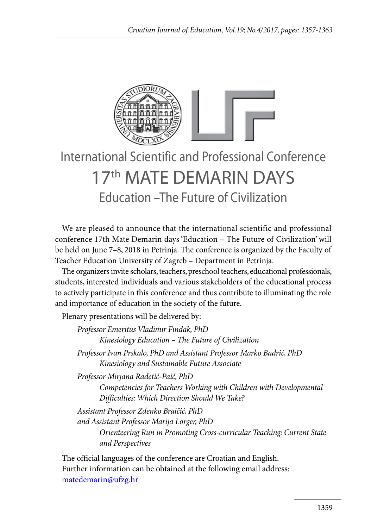

## International Scientific and Professional Conference 17th MATE DEMARIN DAYS Education –The Future of Civilization

We are pleased to announce that the international scientific and professional conference 17th Mate Demarin days 'Education – The Future of Civilization' will be held on June 7–8, 2018 in Petrinja. The conference is organized by the Faculty of Teacher Education University of Zagreb – Department in Petrinja.

The organizers invite scholars, teachers, preschool teachers, educational professionals, students, interested individuals and various stakeholders of the educational process to actively participate in this conference and thus contribute to illuminating the role and importance of education in the society of the future.

Plenary presentations will be delivered by:

*Professor Emeritus Vladimir Findak, PhD Kinesiology Education – The Future of Civilization Professor Ivan Prskalo, PhD and Assistant Professor Marko Badrić, PhD Kinesiology and Sustainable Future Associate Professor Mirjana Radetić-Paić, PhD Competencies for Teachers Working with Children with Developmental Difficulties: Which Direction Should We Take? Assistant Professor Zdenko Braičić, PhD and Assistant Professor Marija Lorger, PhD Orienteering Run in Promoting Cross-curricular Teaching: Current State and Perspectives*

The official languages of the conference are Croatian and English. Further information can be obtained at the following email address: matedemarin@ufzg.hr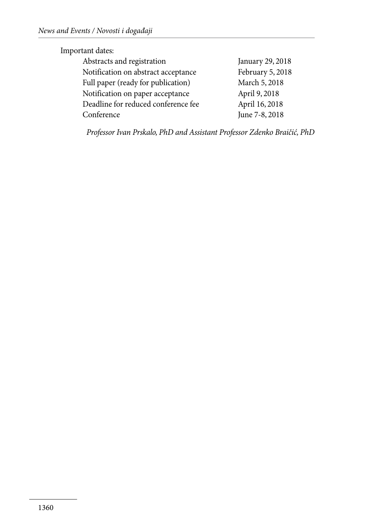## Important dates:

| January 29, 2018 |
|------------------|
| February 5, 2018 |
| March 5, 2018    |
| April 9, 2018    |
| April 16, 2018   |
| June 7-8, 2018   |
|                  |

*Professor Ivan Prskalo, PhD and Assistant Professor Zdenko Braičić, PhD*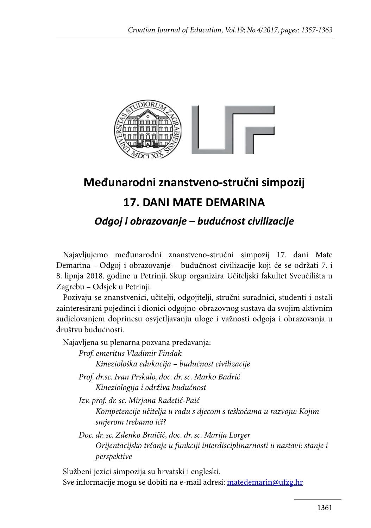

## **Međunarodni znanstveno-stručni simpozij**

## **17. DANI MATE DEMARINA**

*Odgoj i obrazovanje – budućnost civilizacije*

Najavljujemo međunarodni znanstveno-stručni simpozij 17. dani Mate Demarina - Odgoj i obrazovanje – budućnost civilizacije koji će se održati 7. i 8. lipnja 2018. godine u Petrinji. Skup organizira Učiteljski fakultet Sveučilišta u Zagrebu – Odsjek u Petrinji.

Pozivaju se znanstvenici, učitelji, odgojitelji, stručni suradnici, studenti i ostali zainteresirani pojedinci i dionici odgojno-obrazovnog sustava da svojim aktivnim sudjelovanjem doprinesu osvjetljavanju uloge i važnosti odgoja i obrazovanja u društvu budućnosti.

Najavljena su plenarna pozvana predavanja:

*Prof. emeritus Vladimir Findak Kineziološka edukacija – budućnost civilizacije*

*Prof. dr.sc. Ivan Prskalo, doc. dr. sc. Marko Badrić Kineziologija i održiva budućnost*

*Izv. prof. dr. sc. Mirjana Radetić-Paić* 

*Kompetencije učitelja u radu s djecom s teškoćama u razvoju: Kojim smjerom trebamo ići?*

*Doc. dr. sc. Zdenko Braičić, doc. dr. sc. Marija Lorger Orijentacijsko trčanje u funkciji interdisciplinarnosti u nastavi: stanje i perspektive*

Službeni jezici simpozija su hrvatski i engleski. Sve informacije mogu se dobiti na e-mail adresi: matedemarin@ufzg.hr